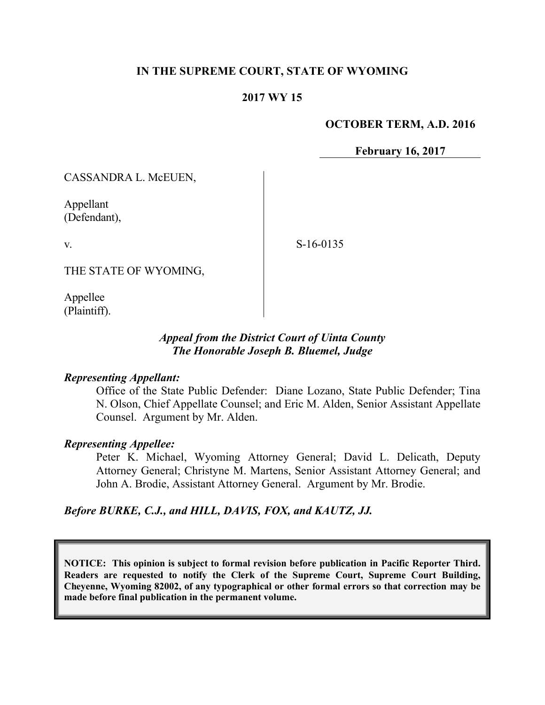### **IN THE SUPREME COURT, STATE OF WYOMING**

## **2017 WY 15**

#### **OCTOBER TERM, A.D. 2016**

**February 16, 2017**

CASSANDRA L. McEUEN,

Appellant (Defendant),

v.

S-16-0135

THE STATE OF WYOMING,

Appellee (Plaintiff).

### *Appeal from the District Court of Uinta County The Honorable Joseph B. Bluemel, Judge*

#### *Representing Appellant:*

Office of the State Public Defender: Diane Lozano, State Public Defender; Tina N. Olson, Chief Appellate Counsel; and Eric M. Alden, Senior Assistant Appellate Counsel. Argument by Mr. Alden.

#### *Representing Appellee:*

Peter K. Michael, Wyoming Attorney General; David L. Delicath, Deputy Attorney General; Christyne M. Martens, Senior Assistant Attorney General; and John A. Brodie, Assistant Attorney General. Argument by Mr. Brodie.

#### *Before BURKE, C.J., and HILL, DAVIS, FOX, and KAUTZ, JJ.*

**NOTICE: This opinion is subject to formal revision before publication in Pacific Reporter Third. Readers are requested to notify the Clerk of the Supreme Court, Supreme Court Building, Cheyenne, Wyoming 82002, of any typographical or other formal errors so that correction may be made before final publication in the permanent volume.**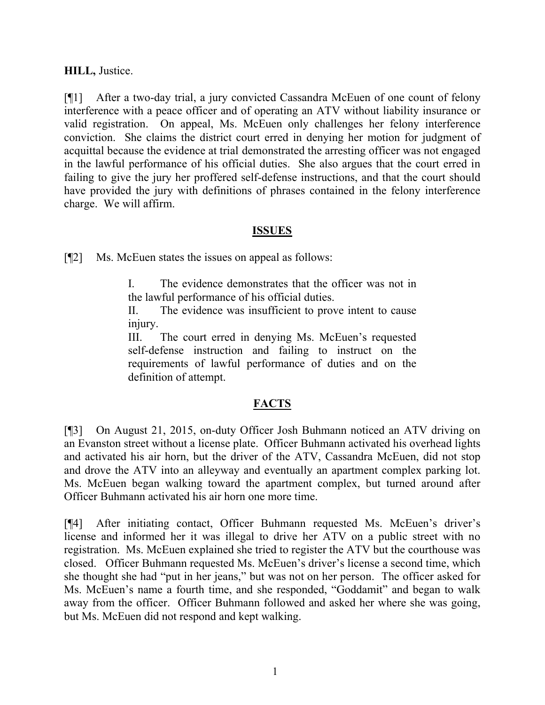**HILL,** Justice.

[¶1] After a two-day trial, a jury convicted Cassandra McEuen of one count of felony interference with a peace officer and of operating an ATV without liability insurance or valid registration. On appeal, Ms. McEuen only challenges her felony interference conviction. She claims the district court erred in denying her motion for judgment of acquittal because the evidence at trial demonstrated the arresting officer was not engaged in the lawful performance of his official duties. She also argues that the court erred in failing to give the jury her proffered self-defense instructions, and that the court should have provided the jury with definitions of phrases contained in the felony interference charge. We will affirm.

## **ISSUES**

[¶2] Ms. McEuen states the issues on appeal as follows:

I. The evidence demonstrates that the officer was not in the lawful performance of his official duties.

II. The evidence was insufficient to prove intent to cause injury.

III. The court erred in denying Ms. McEuen's requested self-defense instruction and failing to instruct on the requirements of lawful performance of duties and on the definition of attempt.

## **FACTS**

[¶3] On August 21, 2015, on-duty Officer Josh Buhmann noticed an ATV driving on an Evanston street without a license plate. Officer Buhmann activated his overhead lights and activated his air horn, but the driver of the ATV, Cassandra McEuen, did not stop and drove the ATV into an alleyway and eventually an apartment complex parking lot. Ms. McEuen began walking toward the apartment complex, but turned around after Officer Buhmann activated his air horn one more time.

[¶4] After initiating contact, Officer Buhmann requested Ms. McEuen's driver's license and informed her it was illegal to drive her ATV on a public street with no registration. Ms. McEuen explained she tried to register the ATV but the courthouse was closed. Officer Buhmann requested Ms. McEuen's driver's license a second time, which she thought she had "put in her jeans," but was not on her person. The officer asked for Ms. McEuen's name a fourth time, and she responded, "Goddamit" and began to walk away from the officer. Officer Buhmann followed and asked her where she was going, but Ms. McEuen did not respond and kept walking.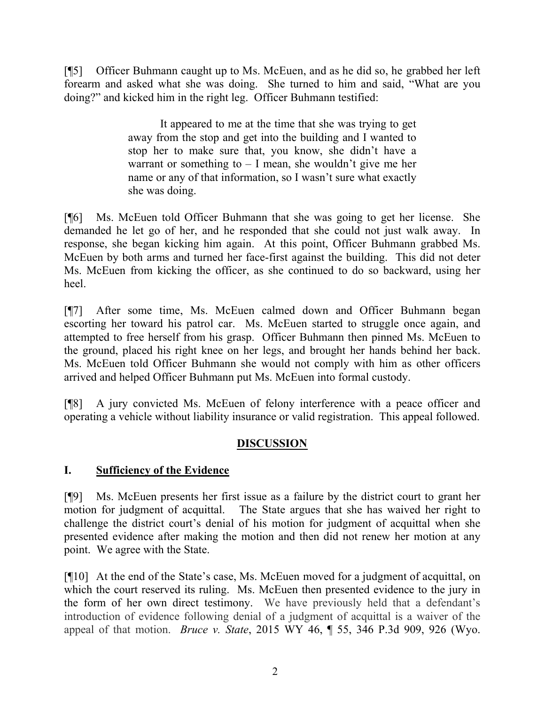[¶5] Officer Buhmann caught up to Ms. McEuen, and as he did so, he grabbed her left forearm and asked what she was doing. She turned to him and said, "What are you doing?" and kicked him in the right leg. Officer Buhmann testified:

> It appeared to me at the time that she was trying to get away from the stop and get into the building and I wanted to stop her to make sure that, you know, she didn't have a warrant or something to  $- I$  mean, she wouldn't give me her name or any of that information, so I wasn't sure what exactly she was doing.

[¶6] Ms. McEuen told Officer Buhmann that she was going to get her license. She demanded he let go of her, and he responded that she could not just walk away. In response, she began kicking him again. At this point, Officer Buhmann grabbed Ms. McEuen by both arms and turned her face-first against the building. This did not deter Ms. McEuen from kicking the officer, as she continued to do so backward, using her heel.

[¶7] After some time, Ms. McEuen calmed down and Officer Buhmann began escorting her toward his patrol car. Ms. McEuen started to struggle once again, and attempted to free herself from his grasp. Officer Buhmann then pinned Ms. McEuen to the ground, placed his right knee on her legs, and brought her hands behind her back. Ms. McEuen told Officer Buhmann she would not comply with him as other officers arrived and helped Officer Buhmann put Ms. McEuen into formal custody.

[¶8] A jury convicted Ms. McEuen of felony interference with a peace officer and operating a vehicle without liability insurance or valid registration. This appeal followed.

# **DISCUSSION**

# **I. Sufficiency of the Evidence**

[¶9] Ms. McEuen presents her first issue as a failure by the district court to grant her motion for judgment of acquittal. The State argues that she has waived her right to challenge the district court's denial of his motion for judgment of acquittal when she presented evidence after making the motion and then did not renew her motion at any point. We agree with the State.

[¶10] At the end of the State's case, Ms. McEuen moved for a judgment of acquittal, on which the court reserved its ruling. Ms. McEuen then presented evidence to the jury in the form of her own direct testimony. We have previously held that a defendant's introduction of evidence following denial of a judgment of acquittal is a waiver of the appeal of that motion. *Bruce v. State*, 2015 WY 46, ¶ 55, 346 P.3d 909, 926 (Wyo.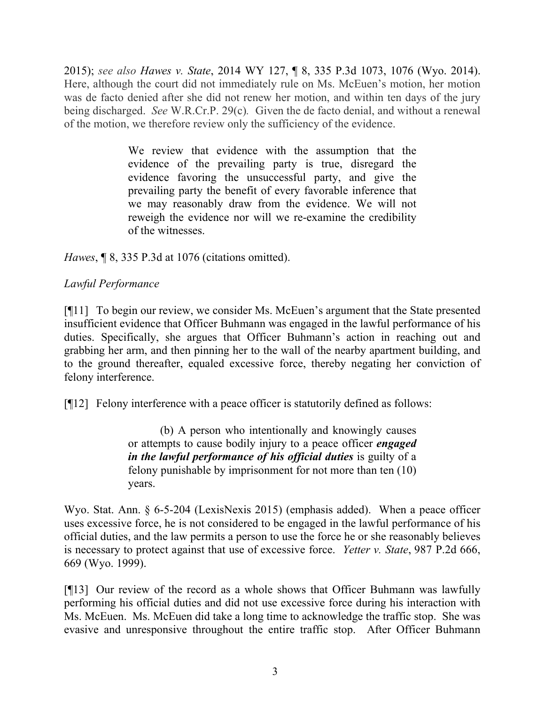2015); *see also Hawes v. State*, 2014 WY 127, ¶ 8, 335 P.3d 1073, 1076 (Wyo. 2014). Here, although the court did not immediately rule on Ms. McEuen's motion, her motion was de facto denied after she did not renew her motion, and within ten days of the jury being discharged. *See* W.R.Cr.P. 29(c)*.* Given the de facto denial, and without a renewal of the motion, we therefore review only the sufficiency of the evidence.

> We review that evidence with the assumption that the evidence of the prevailing party is true, disregard the evidence favoring the unsuccessful party, and give the prevailing party the benefit of every favorable inference that we may reasonably draw from the evidence. We will not reweigh the evidence nor will we re-examine the credibility of the witnesses.

*Hawes*, ¶ 8, 335 P.3d at 1076 (citations omitted).

## *Lawful Performance*

[¶11] To begin our review, we consider Ms. McEuen's argument that the State presented insufficient evidence that Officer Buhmann was engaged in the lawful performance of his duties. Specifically, she argues that Officer Buhmann's action in reaching out and grabbing her arm, and then pinning her to the wall of the nearby apartment building, and to the ground thereafter, equaled excessive force, thereby negating her conviction of felony interference.

[¶12] Felony interference with a peace officer is statutorily defined as follows:

(b) A person who intentionally and knowingly causes or attempts to cause bodily injury to a peace officer *engaged in the lawful performance of his official duties* is guilty of a felony punishable by imprisonment for not more than ten (10) years.

Wyo. Stat. Ann. § 6-5-204 (LexisNexis 2015) (emphasis added). When a peace officer uses excessive force, he is not considered to be engaged in the lawful performance of his official duties, and the law permits a person to use the force he or she reasonably believes is necessary to protect against that use of excessive force. *Yetter v. State*, 987 P.2d 666, 669 (Wyo. 1999).

[¶13] Our review of the record as a whole shows that Officer Buhmann was lawfully performing his official duties and did not use excessive force during his interaction with Ms. McEuen. Ms. McEuen did take a long time to acknowledge the traffic stop. She was evasive and unresponsive throughout the entire traffic stop. After Officer Buhmann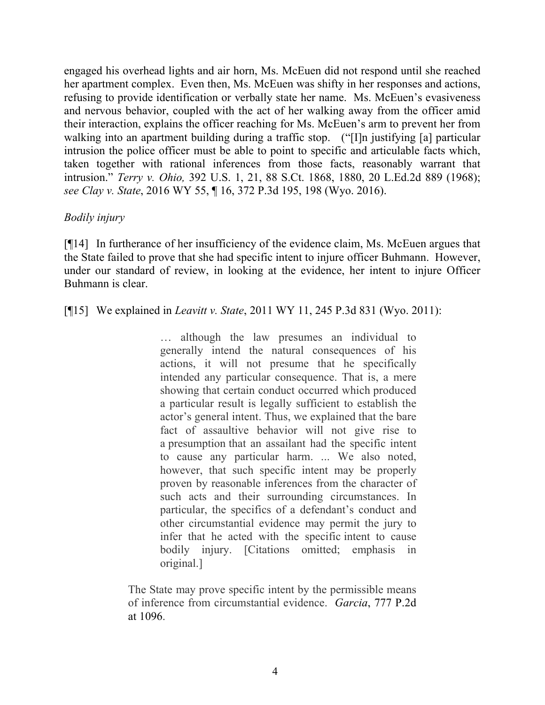engaged his overhead lights and air horn, Ms. McEuen did not respond until she reached her apartment complex. Even then, Ms. McEuen was shifty in her responses and actions, refusing to provide identification or verbally state her name. Ms. McEuen's evasiveness and nervous behavior, coupled with the act of her walking away from the officer amid their interaction, explains the officer reaching for Ms. McEuen's arm to prevent her from walking into an apartment building during a traffic stop. ("I]n justifying [a] particular intrusion the police officer must be able to point to specific and articulable facts which, taken together with rational inferences from those facts, reasonably warrant that intrusion." *Terry v. Ohio,* 392 U.S. 1, 21, 88 S.Ct. 1868, 1880, 20 L.Ed.2d 889 (1968); *see Clay v. State*, 2016 WY 55, ¶ 16, 372 P.3d 195, 198 (Wyo. 2016).

## *Bodily injury*

[¶14] In furtherance of her insufficiency of the evidence claim, Ms. McEuen argues that the State failed to prove that she had specific intent to injure officer Buhmann. However, under our standard of review, in looking at the evidence, her intent to injure Officer Buhmann is clear.

[¶15] We explained in *Leavitt v. State*, 2011 WY 11, 245 P.3d 831 (Wyo. 2011):

… although the law presumes an individual to generally intend the natural consequences of his actions, it will not presume that he specifically intended any particular consequence. That is, a mere showing that certain conduct occurred which produced a particular result is legally sufficient to establish the actor's general intent. Thus, we explained that the bare fact of assaultive behavior will not give rise to a presumption that an assailant had the specific intent to cause any particular harm. ... We also noted, however, that such specific intent may be properly proven by reasonable inferences from the character of such acts and their surrounding circumstances. In particular, the specifics of a defendant's conduct and other circumstantial evidence may permit the jury to infer that he acted with the specific intent to cause bodily injury. [Citations omitted; emphasis in original.]

The State may prove specific intent by the permissible means of inference from circumstantial evidence. *Garcia*, 777 P.2d at 1096.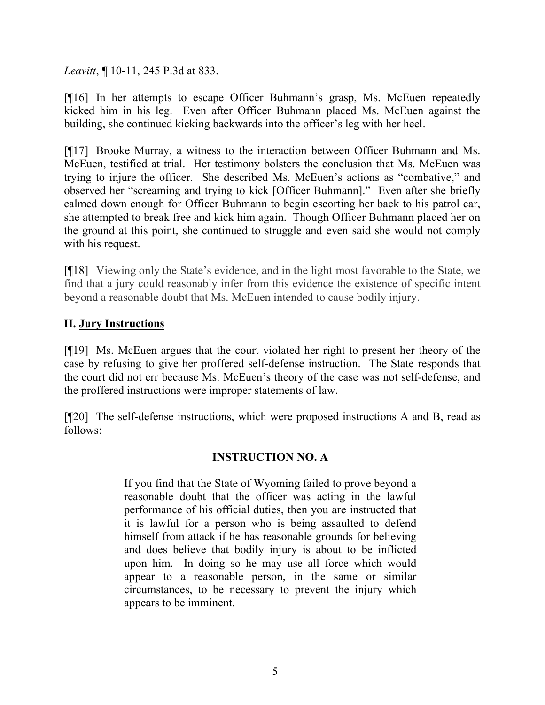*Leavitt*, ¶ 10-11, 245 P.3d at 833.

[¶16] In her attempts to escape Officer Buhmann's grasp, Ms. McEuen repeatedly kicked him in his leg. Even after Officer Buhmann placed Ms. McEuen against the building, she continued kicking backwards into the officer's leg with her heel.

[¶17] Brooke Murray, a witness to the interaction between Officer Buhmann and Ms. McEuen, testified at trial. Her testimony bolsters the conclusion that Ms. McEuen was trying to injure the officer. She described Ms. McEuen's actions as "combative," and observed her "screaming and trying to kick [Officer Buhmann]." Even after she briefly calmed down enough for Officer Buhmann to begin escorting her back to his patrol car, she attempted to break free and kick him again. Though Officer Buhmann placed her on the ground at this point, she continued to struggle and even said she would not comply with his request.

[¶18] Viewing only the State's evidence, and in the light most favorable to the State, we find that a jury could reasonably infer from this evidence the existence of specific intent beyond a reasonable doubt that Ms. McEuen intended to cause bodily injury.

## **II. Jury Instructions**

[¶19] Ms. McEuen argues that the court violated her right to present her theory of the case by refusing to give her proffered self-defense instruction. The State responds that the court did not err because Ms. McEuen's theory of the case was not self-defense, and the proffered instructions were improper statements of law.

[¶20] The self-defense instructions, which were proposed instructions A and B, read as follows:

## **INSTRUCTION NO. A**

If you find that the State of Wyoming failed to prove beyond a reasonable doubt that the officer was acting in the lawful performance of his official duties, then you are instructed that it is lawful for a person who is being assaulted to defend himself from attack if he has reasonable grounds for believing and does believe that bodily injury is about to be inflicted upon him. In doing so he may use all force which would appear to a reasonable person, in the same or similar circumstances, to be necessary to prevent the injury which appears to be imminent.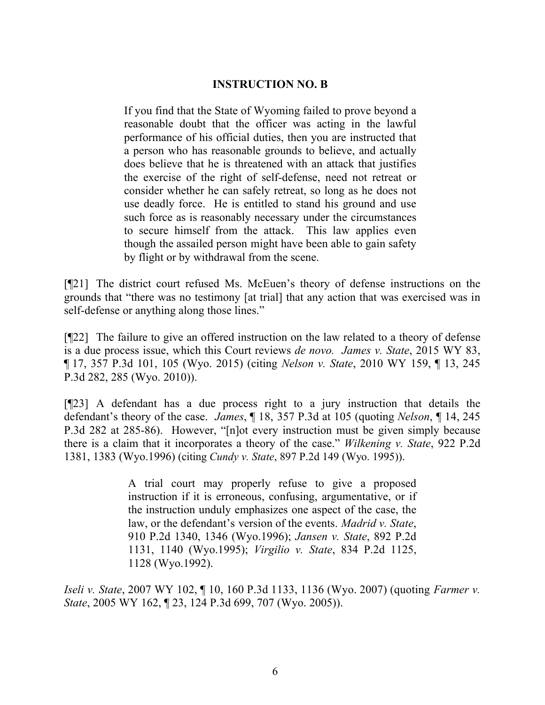### **INSTRUCTION NO. B**

If you find that the State of Wyoming failed to prove beyond a reasonable doubt that the officer was acting in the lawful performance of his official duties, then you are instructed that a person who has reasonable grounds to believe, and actually does believe that he is threatened with an attack that justifies the exercise of the right of self-defense, need not retreat or consider whether he can safely retreat, so long as he does not use deadly force. He is entitled to stand his ground and use such force as is reasonably necessary under the circumstances to secure himself from the attack. This law applies even though the assailed person might have been able to gain safety by flight or by withdrawal from the scene.

[¶21] The district court refused Ms. McEuen's theory of defense instructions on the grounds that "there was no testimony [at trial] that any action that was exercised was in self-defense or anything along those lines."

[¶22] The failure to give an offered instruction on the law related to a theory of defense is a due process issue, which this Court reviews *de novo. James v. State*, 2015 WY 83, ¶ 17, 357 P.3d 101, 105 (Wyo. 2015) (citing *Nelson v. State*, 2010 WY 159, ¶ 13, 245 P.3d 282, 285 (Wyo. 2010)).

[¶23] A defendant has a due process right to a jury instruction that details the defendant's theory of the case. *James*, ¶ 18, 357 P.3d at 105 (quoting *Nelson*, ¶ 14, 245 P.3d 282 at 285-86). However, "[n]ot every instruction must be given simply because there is a claim that it incorporates a theory of the case." *Wilkening v. State*, 922 P.2d 1381, 1383 (Wyo.1996) (citing *Cundy v. State*, 897 P.2d 149 (Wyo. 1995)).

> A trial court may properly refuse to give a proposed instruction if it is erroneous, confusing, argumentative, or if the instruction unduly emphasizes one aspect of the case, the law, or the defendant's version of the events. *Madrid v. State*, 910 P.2d 1340, 1346 (Wyo.1996); *Jansen v. State*, 892 P.2d 1131, 1140 (Wyo.1995); *Virgilio v. State*, 834 P.2d 1125, 1128 (Wyo.1992).

*Iseli v. State*, 2007 WY 102, ¶ 10, 160 P.3d 1133, 1136 (Wyo. 2007) (quoting *Farmer v. State*, 2005 WY 162, ¶ 23, 124 P.3d 699, 707 (Wyo. 2005)).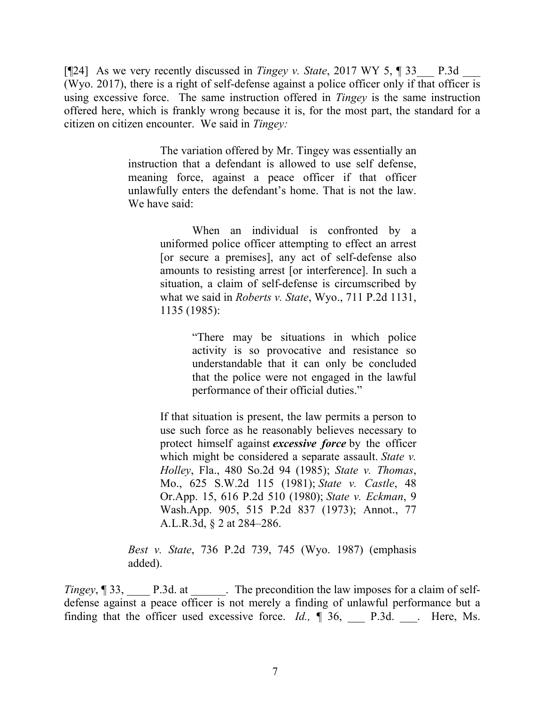[¶24] As we very recently discussed in *Tingey v. State*, 2017 WY 5, ¶ 33\_\_\_ P.3d \_\_\_ (Wyo. 2017), there is a right of self-defense against a police officer only if that officer is using excessive force. The same instruction offered in *Tingey* is the same instruction offered here, which is frankly wrong because it is, for the most part, the standard for a citizen on citizen encounter. We said in *Tingey:*

> The variation offered by Mr. Tingey was essentially an instruction that a defendant is allowed to use self defense, meaning force, against a peace officer if that officer unlawfully enters the defendant's home. That is not the law. We have said:

> > When an individual is confronted by a uniformed police officer attempting to effect an arrest [or secure a premises], any act of self-defense also amounts to resisting arrest [or interference]. In such a situation, a claim of self-defense is circumscribed by what we said in *Roberts v. State*, Wyo., 711 P.2d 1131, 1135 (1985):

> > > "There may be situations in which police activity is so provocative and resistance so understandable that it can only be concluded that the police were not engaged in the lawful performance of their official duties."

If that situation is present, the law permits a person to use such force as he reasonably believes necessary to protect himself against *excessive force* by the officer which might be considered a separate assault. *State v. Holley*, Fla., 480 So.2d 94 (1985); *State v. Thomas*, Mo., 625 S.W.2d 115 (1981); *State v. Castle*, 48 Or.App. 15, 616 P.2d 510 (1980); *State v. Eckman*, 9 Wash.App. 905, 515 P.2d 837 (1973); Annot., 77 A.L.R.3d, § 2 at 284–286.

*Best v. State*, 736 P.2d 739, 745 (Wyo. 1987) (emphasis added).

*Tingey*, ¶ 33, P.3d. at The precondition the law imposes for a claim of selfdefense against a peace officer is not merely a finding of unlawful performance but a finding that the officer used excessive force. *Id.*, **[** 36, Leg. 20, Leg. Ms.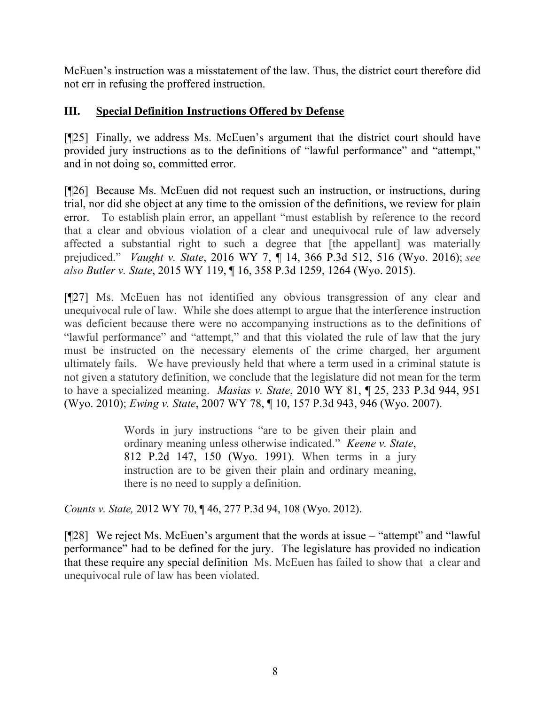McEuen's instruction was a misstatement of the law. Thus, the district court therefore did not err in refusing the proffered instruction.

## **III. Special Definition Instructions Offered by Defense**

[¶25] Finally, we address Ms. McEuen's argument that the district court should have provided jury instructions as to the definitions of "lawful performance" and "attempt," and in not doing so, committed error.

[¶26] Because Ms. McEuen did not request such an instruction, or instructions, during trial, nor did she object at any time to the omission of the definitions, we review for plain error. To establish plain error, an appellant "must establish by reference to the record that a clear and obvious violation of a clear and unequivocal rule of law adversely affected a substantial right to such a degree that [the appellant] was materially prejudiced." *Vaught v. State*, 2016 WY 7, ¶ 14, 366 P.3d 512, 516 (Wyo. 2016); *see also Butler v. State*, 2015 WY 119, ¶ 16, 358 P.3d 1259, 1264 (Wyo. 2015).

[¶27] Ms. McEuen has not identified any obvious transgression of any clear and unequivocal rule of law. While she does attempt to argue that the interference instruction was deficient because there were no accompanying instructions as to the definitions of "lawful performance" and "attempt," and that this violated the rule of law that the jury must be instructed on the necessary elements of the crime charged, her argument ultimately fails. We have previously held that where a term used in a criminal statute is not given a statutory definition, we conclude that the legislature did not mean for the term to have a specialized meaning. *Masias v. State*, 2010 WY 81, ¶ 25, 233 P.3d 944, 951 (Wyo. 2010); *Ewing v. State*, 2007 WY 78, ¶ 10, 157 P.3d 943, 946 (Wyo. 2007).

> Words in jury instructions "are to be given their plain and ordinary meaning unless otherwise indicated." *Keene v. State*, 812 P.2d 147, 150 (Wyo. 1991). When terms in a jury instruction are to be given their plain and ordinary meaning, there is no need to supply a definition.

*Counts v. State,* 2012 WY 70, ¶ 46, 277 P.3d 94, 108 (Wyo. 2012).

[¶28] We reject Ms. McEuen's argument that the words at issue – "attempt" and "lawful performance" had to be defined for the jury. The legislature has provided no indication that these require any special definition Ms. McEuen has failed to show that a clear and unequivocal rule of law has been violated.